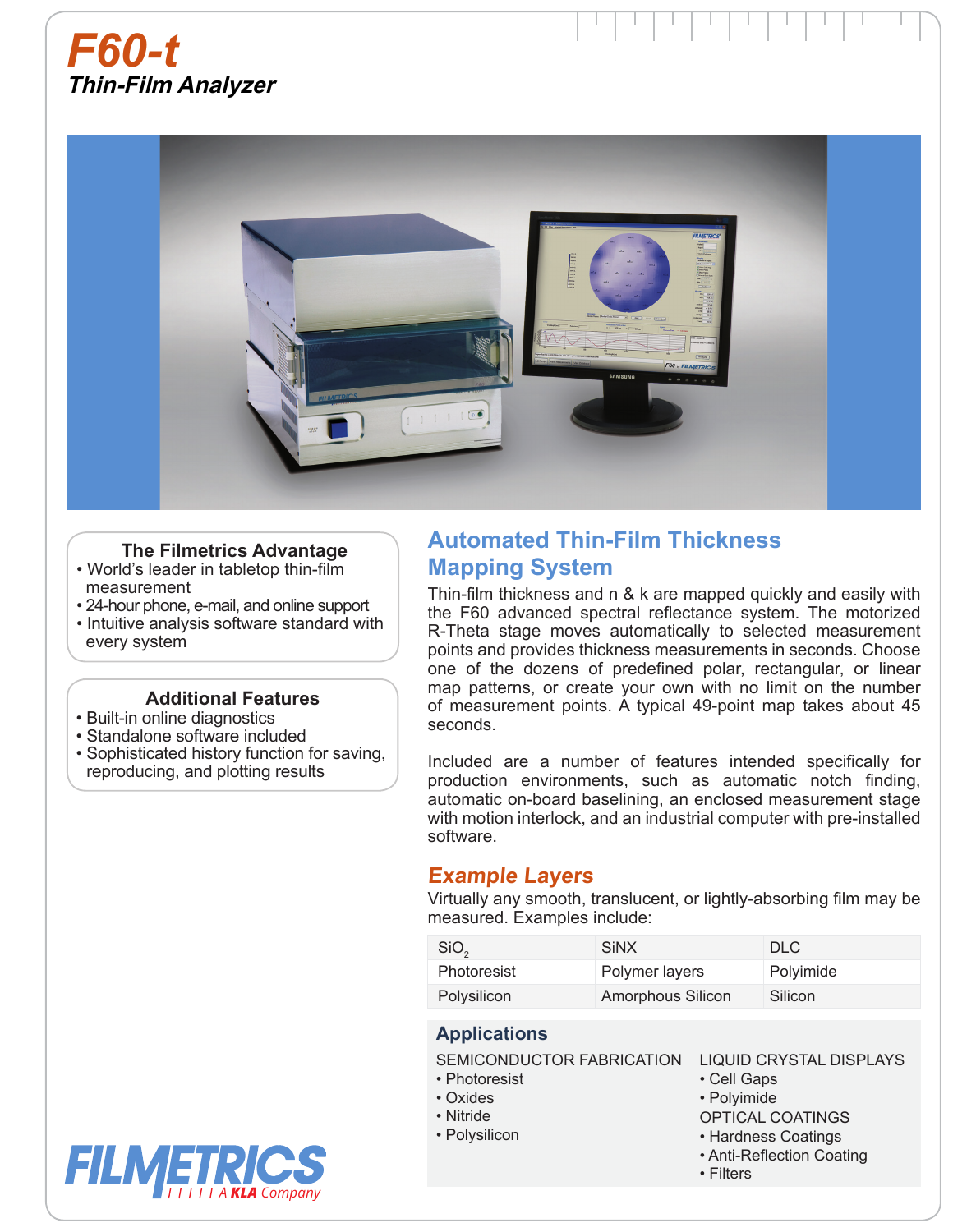



#### **The Filmetrics Advantage**

- World's leader in tabletop thin-film measurement
- 24-hour phone, e-mail, and online support
- Intuitive analysis software standard with every system

#### **Additional Features**

- Built-in online diagnostics
- Standalone software included
- Sophisticated history function for saving,  reproducing, and plotting results

# **Automated Thin-Film Thickness Mapping System**

Thin-film thickness and n & k are mapped quickly and easily with the F60 advanced spectral reflectance system. The motorized R-Theta stage moves automatically to selected measurement points and provides thickness measurements in seconds. Choose one of the dozens of predefined polar, rectangular, or linear map patterns, or create your own with no limit on the number of measurement points. A typical 49-point map takes about 45 seconds.

Included are a number of features intended specifically for production environments, such as automatic notch finding, automatic on-board baselining, an enclosed measurement stage with motion interlock, and an industrial computer with pre-installed software.

## **Example Layers**

Virtually any smooth, translucent, or lightly-absorbing film may be measured. Examples include:

| SiO <sub>2</sub>   | <b>SiNX</b>       | DLC.      |
|--------------------|-------------------|-----------|
| <b>Photoresist</b> | Polymer layers    | Polyimide |
| Polysilicon        | Amorphous Silicon | Silicon   |

### **Applications**

SEMICONDUCTOR FABRICATION

- Photoresist
- Oxides
- Nitride
- Polysilicon
- LIQUID CRYSTAL DISPLAYS
- Cell Gaps
- Polyimide
- OPTICAL COATINGS
- Hardness Coatings
- Anti-Reflection Coating
- Filters